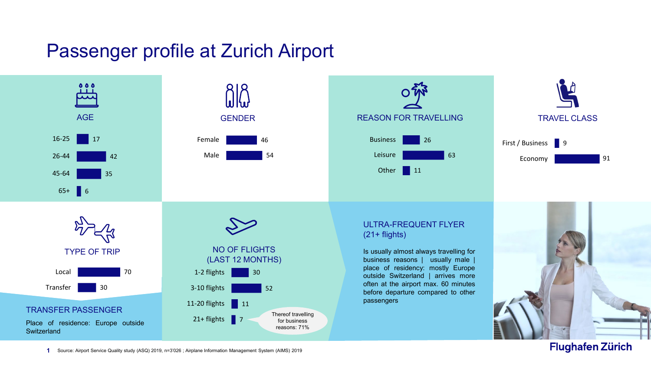## Passenger profile at Zurich Airport



**Flughafen Zürich** 

**1** Source: Airport Service Quality study (ASQ) 2019, n=3'026 ; Airplane Information Management System (AIMS) 2019